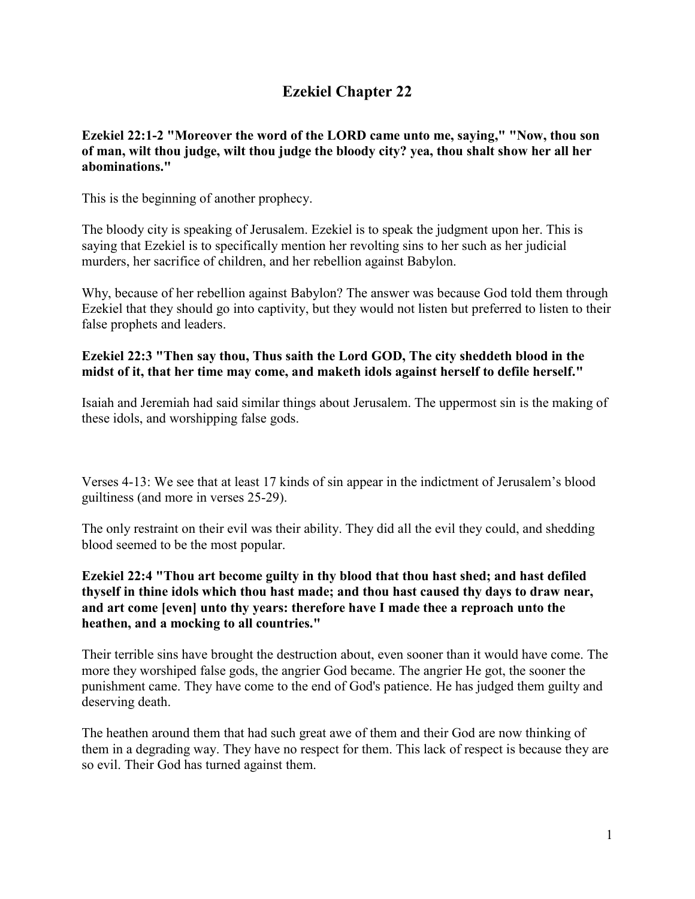# **Ezekiel Chapter 22**

# **Ezekiel 22:1-2 "Moreover the word of the LORD came unto me, saying," "Now, thou son of man, wilt thou judge, wilt thou judge the bloody city? yea, thou shalt show her all her abominations."**

This is the beginning of another prophecy.

The bloody city is speaking of Jerusalem. Ezekiel is to speak the judgment upon her. This is saying that Ezekiel is to specifically mention her revolting sins to her such as her judicial murders, her sacrifice of children, and her rebellion against Babylon.

Why, because of her rebellion against Babylon? The answer was because God told them through Ezekiel that they should go into captivity, but they would not listen but preferred to listen to their false prophets and leaders.

# **Ezekiel 22:3 "Then say thou, Thus saith the Lord GOD, The city sheddeth blood in the midst of it, that her time may come, and maketh idols against herself to defile herself."**

Isaiah and Jeremiah had said similar things about Jerusalem. The uppermost sin is the making of these idols, and worshipping false gods.

Verses 4-13: We see that at least 17 kinds of sin appear in the indictment of Jerusalem's blood guiltiness (and more in verses 25-29).

The only restraint on their evil was their ability. They did all the evil they could, and shedding blood seemed to be the most popular.

### **Ezekiel 22:4 "Thou art become guilty in thy blood that thou hast shed; and hast defiled thyself in thine idols which thou hast made; and thou hast caused thy days to draw near, and art come [even] unto thy years: therefore have I made thee a reproach unto the heathen, and a mocking to all countries."**

Their terrible sins have brought the destruction about, even sooner than it would have come. The more they worshiped false gods, the angrier God became. The angrier He got, the sooner the punishment came. They have come to the end of God's patience. He has judged them guilty and deserving death.

The heathen around them that had such great awe of them and their God are now thinking of them in a degrading way. They have no respect for them. This lack of respect is because they are so evil. Their God has turned against them.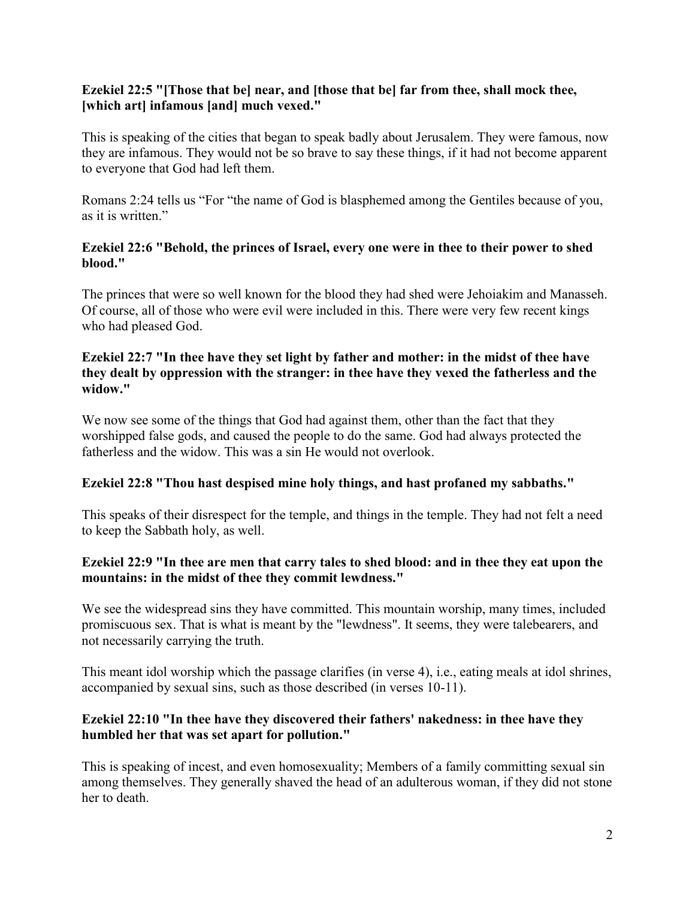# **Ezekiel 22:5 "[Those that be] near, and [those that be] far from thee, shall mock thee, [which art] infamous [and] much vexed."**

This is speaking of the cities that began to speak badly about Jerusalem. They were famous, now they are infamous. They would not be so brave to say these things, if it had not become apparent to everyone that God had left them.

Romans 2:24 tells us "For "the name of God is blasphemed among the Gentiles because of you, as it is written."

#### **Ezekiel 22:6 "Behold, the princes of Israel, every one were in thee to their power to shed blood."**

The princes that were so well known for the blood they had shed were Jehoiakim and Manasseh. Of course, all of those who were evil were included in this. There were very few recent kings who had pleased God.

#### **Ezekiel 22:7 "In thee have they set light by father and mother: in the midst of thee have they dealt by oppression with the stranger: in thee have they vexed the fatherless and the widow."**

We now see some of the things that God had against them, other than the fact that they worshipped false gods, and caused the people to do the same. God had always protected the fatherless and the widow. This was a sin He would not overlook.

# **Ezekiel 22:8 "Thou hast despised mine holy things, and hast profaned my sabbaths."**

This speaks of their disrespect for the temple, and things in the temple. They had not felt a need to keep the Sabbath holy, as well.

# **Ezekiel 22:9 "In thee are men that carry tales to shed blood: and in thee they eat upon the mountains: in the midst of thee they commit lewdness."**

We see the widespread sins they have committed. This mountain worship, many times, included promiscuous sex. That is what is meant by the "lewdness". It seems, they were talebearers, and not necessarily carrying the truth.

This meant idol worship which the passage clarifies (in verse 4), i.e., eating meals at idol shrines, accompanied by sexual sins, such as those described (in verses 10-11).

# **Ezekiel 22:10 "In thee have they discovered their fathers' nakedness: in thee have they humbled her that was set apart for pollution."**

This is speaking of incest, and even homosexuality; Members of a family committing sexual sin among themselves. They generally shaved the head of an adulterous woman, if they did not stone her to death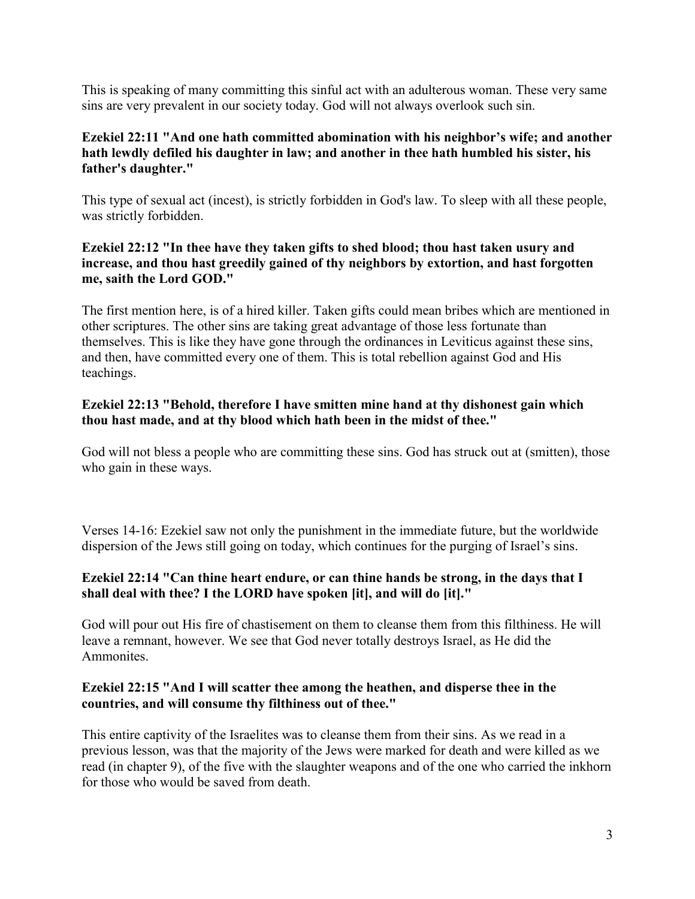This is speaking of many committing this sinful act with an adulterous woman. These very same sins are very prevalent in our society today. God will not always overlook such sin.

# **Ezekiel 22:11 "And one hath committed abomination with his neighbor's wife; and another hath lewdly defiled his daughter in law; and another in thee hath humbled his sister, his father's daughter."**

This type of sexual act (incest), is strictly forbidden in God's law. To sleep with all these people, was strictly forbidden.

# **Ezekiel 22:12 "In thee have they taken gifts to shed blood; thou hast taken usury and increase, and thou hast greedily gained of thy neighbors by extortion, and hast forgotten me, saith the Lord GOD."**

The first mention here, is of a hired killer. Taken gifts could mean bribes which are mentioned in other scriptures. The other sins are taking great advantage of those less fortunate than themselves. This is like they have gone through the ordinances in Leviticus against these sins, and then, have committed every one of them. This is total rebellion against God and His teachings.

# **Ezekiel 22:13 "Behold, therefore I have smitten mine hand at thy dishonest gain which thou hast made, and at thy blood which hath been in the midst of thee."**

God will not bless a people who are committing these sins. God has struck out at (smitten), those who gain in these ways.

Verses 14-16: Ezekiel saw not only the punishment in the immediate future, but the worldwide dispersion of the Jews still going on today, which continues for the purging of Israel's sins.

# **Ezekiel 22:14 "Can thine heart endure, or can thine hands be strong, in the days that I shall deal with thee? I the LORD have spoken [it], and will do [it]."**

God will pour out His fire of chastisement on them to cleanse them from this filthiness. He will leave a remnant, however. We see that God never totally destroys Israel, as He did the Ammonites.

# **Ezekiel 22:15 "And I will scatter thee among the heathen, and disperse thee in the countries, and will consume thy filthiness out of thee."**

This entire captivity of the Israelites was to cleanse them from their sins. As we read in a previous lesson, was that the majority of the Jews were marked for death and were killed as we read (in chapter 9), of the five with the slaughter weapons and of the one who carried the inkhorn for those who would be saved from death.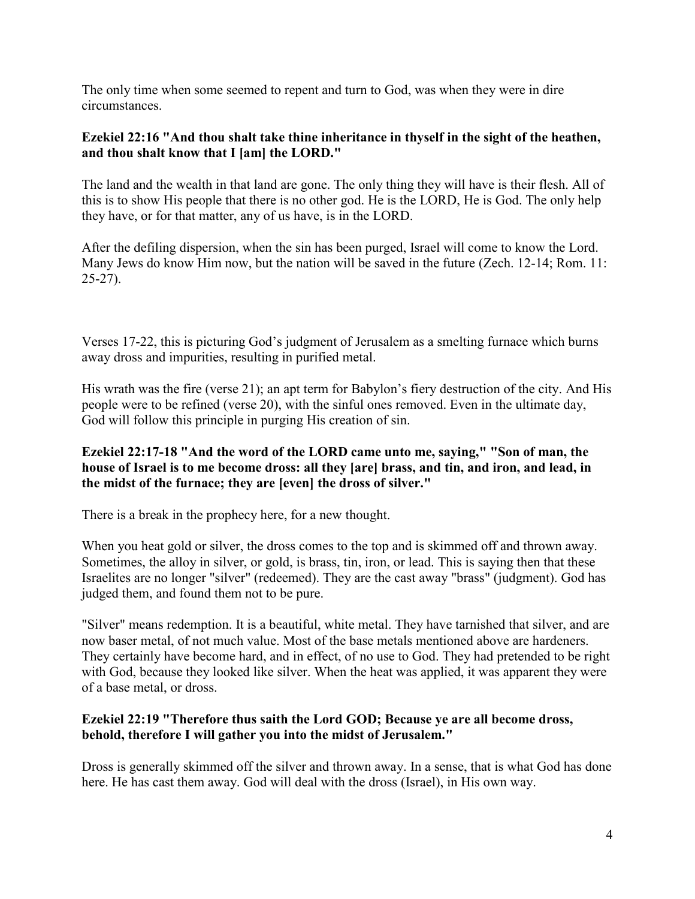The only time when some seemed to repent and turn to God, was when they were in dire circumstances.

### **Ezekiel 22:16 "And thou shalt take thine inheritance in thyself in the sight of the heathen, and thou shalt know that I [am] the LORD."**

The land and the wealth in that land are gone. The only thing they will have is their flesh. All of this is to show His people that there is no other god. He is the LORD, He is God. The only help they have, or for that matter, any of us have, is in the LORD.

After the defiling dispersion, when the sin has been purged, Israel will come to know the Lord. Many Jews do know Him now, but the nation will be saved in the future (Zech. 12-14; Rom. 11: 25-27).

Verses 17-22, this is picturing God's judgment of Jerusalem as a smelting furnace which burns away dross and impurities, resulting in purified metal.

His wrath was the fire (verse 21); an apt term for Babylon's fiery destruction of the city. And His people were to be refined (verse 20), with the sinful ones removed. Even in the ultimate day, God will follow this principle in purging His creation of sin.

# **Ezekiel 22:17-18 "And the word of the LORD came unto me, saying," "Son of man, the house of Israel is to me become dross: all they [are] brass, and tin, and iron, and lead, in the midst of the furnace; they are [even] the dross of silver."**

There is a break in the prophecy here, for a new thought.

When you heat gold or silver, the dross comes to the top and is skimmed off and thrown away. Sometimes, the alloy in silver, or gold, is brass, tin, iron, or lead. This is saying then that these Israelites are no longer "silver" (redeemed). They are the cast away "brass" (judgment). God has judged them, and found them not to be pure.

"Silver" means redemption. It is a beautiful, white metal. They have tarnished that silver, and are now baser metal, of not much value. Most of the base metals mentioned above are hardeners. They certainly have become hard, and in effect, of no use to God. They had pretended to be right with God, because they looked like silver. When the heat was applied, it was apparent they were of a base metal, or dross.

# **Ezekiel 22:19 "Therefore thus saith the Lord GOD; Because ye are all become dross, behold, therefore I will gather you into the midst of Jerusalem."**

Dross is generally skimmed off the silver and thrown away. In a sense, that is what God has done here. He has cast them away. God will deal with the dross (Israel), in His own way.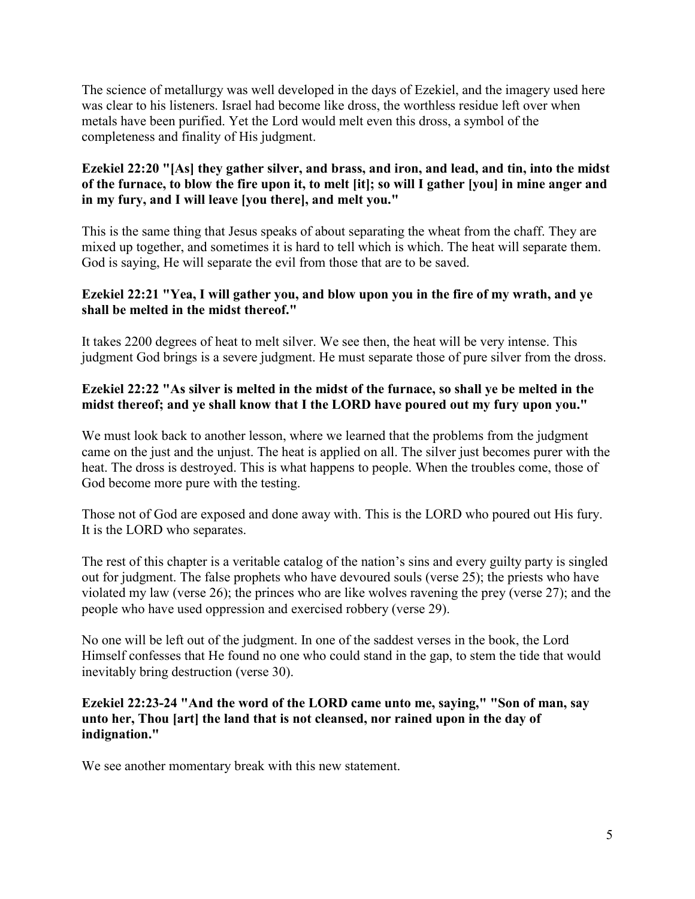The science of metallurgy was well developed in the days of Ezekiel, and the imagery used here was clear to his listeners. Israel had become like dross, the worthless residue left over when metals have been purified. Yet the Lord would melt even this dross, a symbol of the completeness and finality of His judgment.

# **Ezekiel 22:20 "[As] they gather silver, and brass, and iron, and lead, and tin, into the midst of the furnace, to blow the fire upon it, to melt [it]; so will I gather [you] in mine anger and in my fury, and I will leave [you there], and melt you."**

This is the same thing that Jesus speaks of about separating the wheat from the chaff. They are mixed up together, and sometimes it is hard to tell which is which. The heat will separate them. God is saying, He will separate the evil from those that are to be saved.

### **Ezekiel 22:21 "Yea, I will gather you, and blow upon you in the fire of my wrath, and ye shall be melted in the midst thereof."**

It takes 2200 degrees of heat to melt silver. We see then, the heat will be very intense. This judgment God brings is a severe judgment. He must separate those of pure silver from the dross.

# **Ezekiel 22:22 "As silver is melted in the midst of the furnace, so shall ye be melted in the midst thereof; and ye shall know that I the LORD have poured out my fury upon you."**

We must look back to another lesson, where we learned that the problems from the judgment came on the just and the unjust. The heat is applied on all. The silver just becomes purer with the heat. The dross is destroyed. This is what happens to people. When the troubles come, those of God become more pure with the testing.

Those not of God are exposed and done away with. This is the LORD who poured out His fury. It is the LORD who separates.

The rest of this chapter is a veritable catalog of the nation's sins and every guilty party is singled out for judgment. The false prophets who have devoured souls (verse 25); the priests who have violated my law (verse 26); the princes who are like wolves ravening the prey (verse 27); and the people who have used oppression and exercised robbery (verse 29).

No one will be left out of the judgment. In one of the saddest verses in the book, the Lord Himself confesses that He found no one who could stand in the gap, to stem the tide that would inevitably bring destruction (verse 30).

# **Ezekiel 22:23-24 "And the word of the LORD came unto me, saying," "Son of man, say unto her, Thou [art] the land that is not cleansed, nor rained upon in the day of indignation."**

We see another momentary break with this new statement.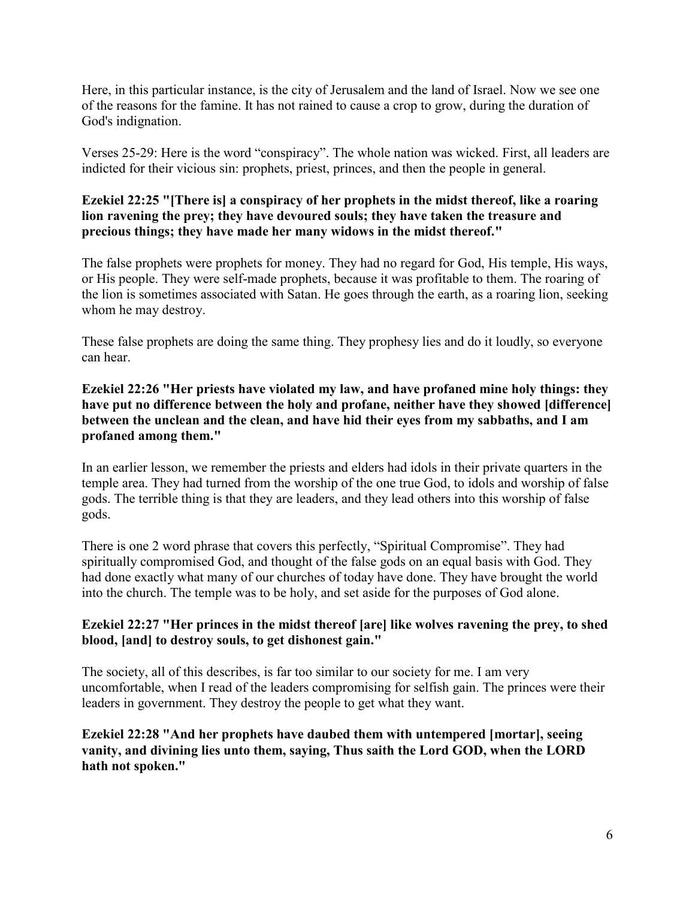Here, in this particular instance, is the city of Jerusalem and the land of Israel. Now we see one of the reasons for the famine. It has not rained to cause a crop to grow, during the duration of God's indignation.

Verses 25-29: Here is the word "conspiracy". The whole nation was wicked. First, all leaders are indicted for their vicious sin: prophets, priest, princes, and then the people in general.

### **Ezekiel 22:25 "[There is] a conspiracy of her prophets in the midst thereof, like a roaring lion ravening the prey; they have devoured souls; they have taken the treasure and precious things; they have made her many widows in the midst thereof."**

The false prophets were prophets for money. They had no regard for God, His temple, His ways, or His people. They were self-made prophets, because it was profitable to them. The roaring of the lion is sometimes associated with Satan. He goes through the earth, as a roaring lion, seeking whom he may destroy.

These false prophets are doing the same thing. They prophesy lies and do it loudly, so everyone can hear.

# **Ezekiel 22:26 "Her priests have violated my law, and have profaned mine holy things: they have put no difference between the holy and profane, neither have they showed [difference] between the unclean and the clean, and have hid their eyes from my sabbaths, and I am profaned among them."**

In an earlier lesson, we remember the priests and elders had idols in their private quarters in the temple area. They had turned from the worship of the one true God, to idols and worship of false gods. The terrible thing is that they are leaders, and they lead others into this worship of false gods.

There is one 2 word phrase that covers this perfectly, "Spiritual Compromise". They had spiritually compromised God, and thought of the false gods on an equal basis with God. They had done exactly what many of our churches of today have done. They have brought the world into the church. The temple was to be holy, and set aside for the purposes of God alone.

# **Ezekiel 22:27 "Her princes in the midst thereof [are] like wolves ravening the prey, to shed blood, [and] to destroy souls, to get dishonest gain."**

The society, all of this describes, is far too similar to our society for me. I am very uncomfortable, when I read of the leaders compromising for selfish gain. The princes were their leaders in government. They destroy the people to get what they want.

**Ezekiel 22:28 "And her prophets have daubed them with untempered [mortar], seeing vanity, and divining lies unto them, saying, Thus saith the Lord GOD, when the LORD hath not spoken."**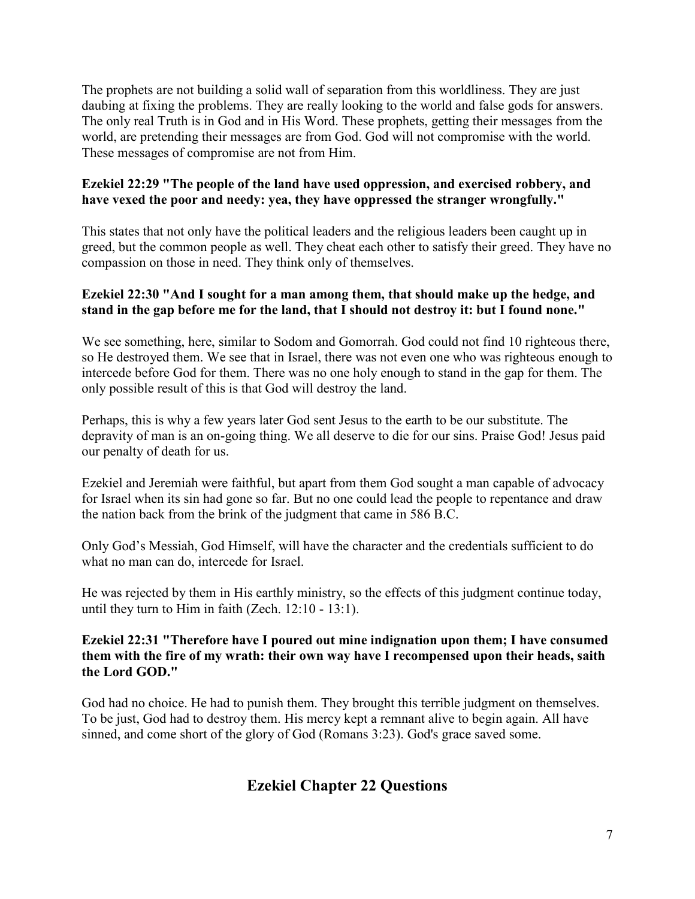The prophets are not building a solid wall of separation from this worldliness. They are just daubing at fixing the problems. They are really looking to the world and false gods for answers. The only real Truth is in God and in His Word. These prophets, getting their messages from the world, are pretending their messages are from God. God will not compromise with the world. These messages of compromise are not from Him.

# **Ezekiel 22:29 "The people of the land have used oppression, and exercised robbery, and have vexed the poor and needy: yea, they have oppressed the stranger wrongfully."**

This states that not only have the political leaders and the religious leaders been caught up in greed, but the common people as well. They cheat each other to satisfy their greed. They have no compassion on those in need. They think only of themselves.

# **Ezekiel 22:30 "And I sought for a man among them, that should make up the hedge, and stand in the gap before me for the land, that I should not destroy it: but I found none."**

We see something, here, similar to Sodom and Gomorrah. God could not find 10 righteous there, so He destroyed them. We see that in Israel, there was not even one who was righteous enough to intercede before God for them. There was no one holy enough to stand in the gap for them. The only possible result of this is that God will destroy the land.

Perhaps, this is why a few years later God sent Jesus to the earth to be our substitute. The depravity of man is an on-going thing. We all deserve to die for our sins. Praise God! Jesus paid our penalty of death for us.

Ezekiel and Jeremiah were faithful, but apart from them God sought a man capable of advocacy for Israel when its sin had gone so far. But no one could lead the people to repentance and draw the nation back from the brink of the judgment that came in 586 B.C.

Only God's Messiah, God Himself, will have the character and the credentials sufficient to do what no man can do, intercede for Israel.

He was rejected by them in His earthly ministry, so the effects of this judgment continue today, until they turn to Him in faith (Zech. 12:10 - 13:1).

#### **Ezekiel 22:31 "Therefore have I poured out mine indignation upon them; I have consumed them with the fire of my wrath: their own way have I recompensed upon their heads, saith the Lord GOD."**

God had no choice. He had to punish them. They brought this terrible judgment on themselves. To be just, God had to destroy them. His mercy kept a remnant alive to begin again. All have sinned, and come short of the glory of God (Romans 3:23). God's grace saved some.

# **Ezekiel Chapter 22 Questions**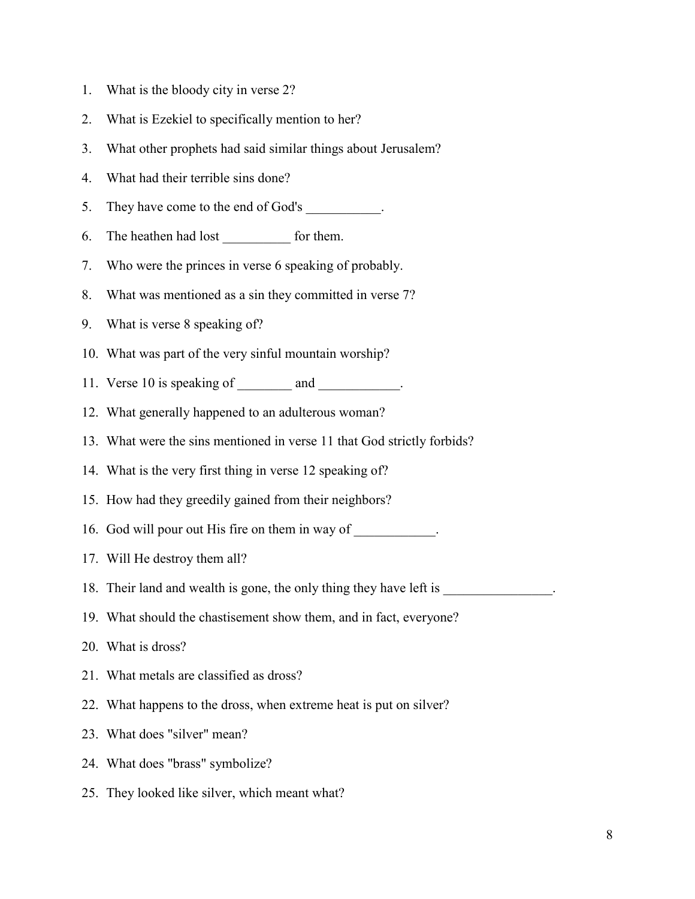- 1. What is the bloody city in verse 2?
- 2. What is Ezekiel to specifically mention to her?
- 3. What other prophets had said similar things about Jerusalem?
- 4. What had their terrible sins done?
- 5. They have come to the end of God's \_\_\_\_\_\_\_\_\_\_.
- 6. The heathen had lost \_\_\_\_\_\_\_\_\_\_\_ for them.
- 7. Who were the princes in verse 6 speaking of probably.
- 8. What was mentioned as a sin they committed in verse 7?
- 9. What is verse 8 speaking of?
- 10. What was part of the very sinful mountain worship?
- 11. Verse 10 is speaking of  $\_\_\_\_\$  and  $\_\_\_\_\_\_\$ .
- 12. What generally happened to an adulterous woman?
- 13. What were the sins mentioned in verse 11 that God strictly forbids?
- 14. What is the very first thing in verse 12 speaking of?
- 15. How had they greedily gained from their neighbors?
- 16. God will pour out His fire on them in way of \_\_\_\_\_\_\_\_\_\_.
- 17. Will He destroy them all?
- 18. Their land and wealth is gone, the only thing they have left is
- 19. What should the chastisement show them, and in fact, everyone?
- 20. What is dross?
- 21. What metals are classified as dross?
- 22. What happens to the dross, when extreme heat is put on silver?
- 23. What does "silver" mean?
- 24. What does "brass" symbolize?
- 25. They looked like silver, which meant what?